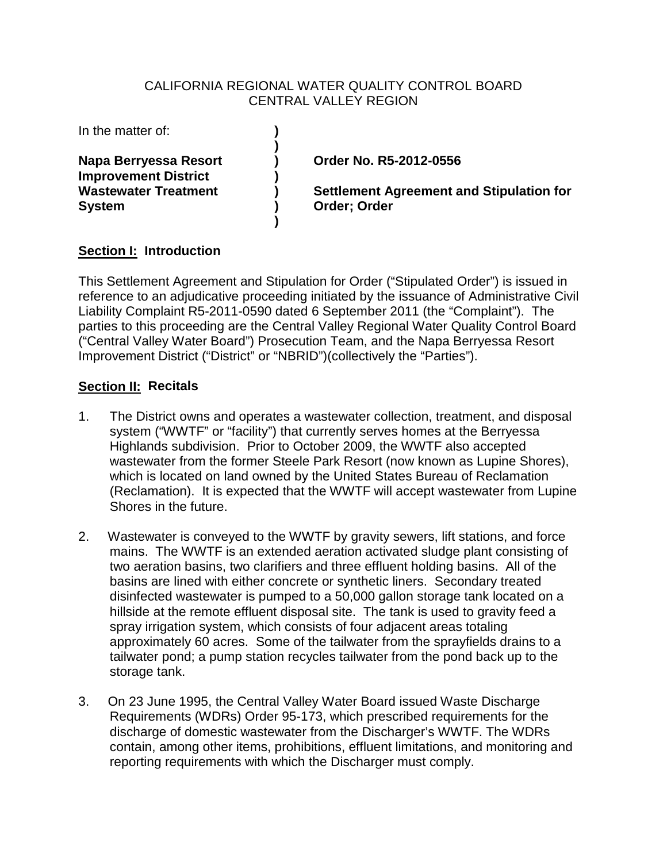#### CALIFORNIA REGIONAL WATER QUALITY CONTROL BOARD CENTRAL VALLEY REGION

| In the matter of:                                    |                                                 |
|------------------------------------------------------|-------------------------------------------------|
| Napa Berryessa Resort<br><b>Improvement District</b> | Order No. R5-2012-0556                          |
| <b>Wastewater Treatment</b>                          | <b>Settlement Agreement and Stipulation for</b> |
| <b>System</b>                                        | Order: Order                                    |

# **Section I: Introduction**

This Settlement Agreement and Stipulation for Order ("Stipulated Order") is issued in reference to an adjudicative proceeding initiated by the issuance of Administrative Civil Liability Complaint R5-2011-0590 dated 6 September 2011 (the "Complaint"). The parties to this proceeding are the Central Valley Regional Water Quality Control Board ("Central Valley Water Board") Prosecution Team, and the Napa Berryessa Resort Improvement District ("District" or "NBRID")(collectively the "Parties").

# **Section II: Recitals**

- 1. The District owns and operates a wastewater collection, treatment, and disposal system ("WWTF" or "facility") that currently serves homes at the Berryessa Highlands subdivision. Prior to October 2009, the WWTF also accepted wastewater from the former Steele Park Resort (now known as Lupine Shores), which is located on land owned by the United States Bureau of Reclamation (Reclamation). It is expected that the WWTF will accept wastewater from Lupine Shores in the future.
- 2. Wastewater is conveyed to the WWTF by gravity sewers, lift stations, and force mains. The WWTF is an extended aeration activated sludge plant consisting of two aeration basins, two clarifiers and three effluent holding basins. All of the basins are lined with either concrete or synthetic liners. Secondary treated disinfected wastewater is pumped to a 50,000 gallon storage tank located on a hillside at the remote effluent disposal site. The tank is used to gravity feed a spray irrigation system, which consists of four adjacent areas totaling approximately 60 acres. Some of the tailwater from the sprayfields drains to a tailwater pond; a pump station recycles tailwater from the pond back up to the storage tank.
- 3. On 23 June 1995, the Central Valley Water Board issued Waste Discharge Requirements (WDRs) Order 95-173, which prescribed requirements for the discharge of domestic wastewater from the Discharger's WWTF. The WDRs contain, among other items, prohibitions, effluent limitations, and monitoring and reporting requirements with which the Discharger must comply.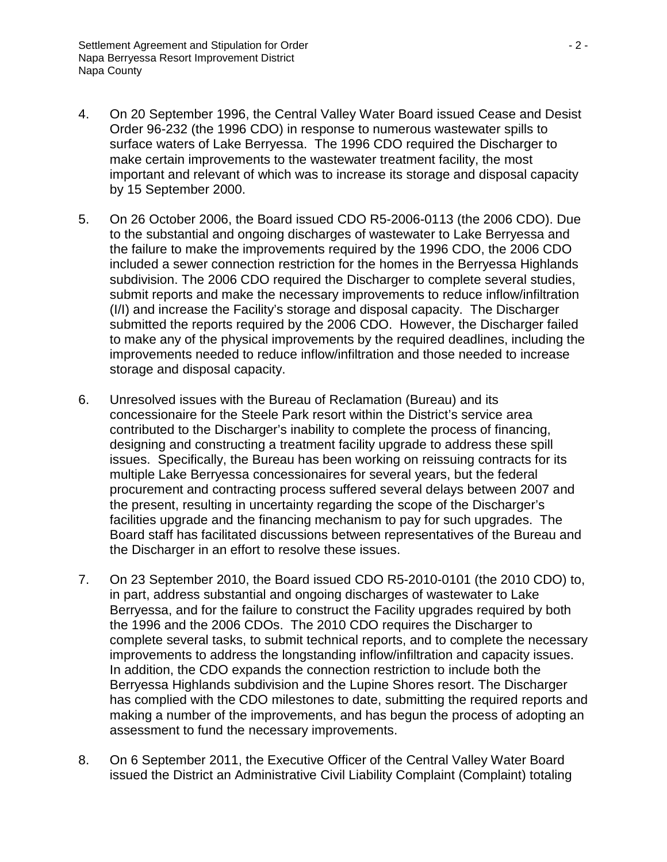- 4. On 20 September 1996, the Central Valley Water Board issued Cease and Desist Order 96-232 (the 1996 CDO) in response to numerous wastewater spills to surface waters of Lake Berryessa. The 1996 CDO required the Discharger to make certain improvements to the wastewater treatment facility, the most important and relevant of which was to increase its storage and disposal capacity by 15 September 2000.
- 5. On 26 October 2006, the Board issued CDO R5-2006-0113 (the 2006 CDO). Due to the substantial and ongoing discharges of wastewater to Lake Berryessa and the failure to make the improvements required by the 1996 CDO, the 2006 CDO included a sewer connection restriction for the homes in the Berryessa Highlands subdivision. The 2006 CDO required the Discharger to complete several studies, submit reports and make the necessary improvements to reduce inflow/infiltration (I/I) and increase the Facility's storage and disposal capacity. The Discharger submitted the reports required by the 2006 CDO. However, the Discharger failed to make any of the physical improvements by the required deadlines, including the improvements needed to reduce inflow/infiltration and those needed to increase storage and disposal capacity.
- 6. Unresolved issues with the Bureau of Reclamation (Bureau) and its concessionaire for the Steele Park resort within the District's service area contributed to the Discharger's inability to complete the process of financing, designing and constructing a treatment facility upgrade to address these spill issues. Specifically, the Bureau has been working on reissuing contracts for its multiple Lake Berryessa concessionaires for several years, but the federal procurement and contracting process suffered several delays between 2007 and the present, resulting in uncertainty regarding the scope of the Discharger's facilities upgrade and the financing mechanism to pay for such upgrades. The Board staff has facilitated discussions between representatives of the Bureau and the Discharger in an effort to resolve these issues.
- 7. On 23 September 2010, the Board issued CDO R5-2010-0101 (the 2010 CDO) to, in part, address substantial and ongoing discharges of wastewater to Lake Berryessa, and for the failure to construct the Facility upgrades required by both the 1996 and the 2006 CDOs. The 2010 CDO requires the Discharger to complete several tasks, to submit technical reports, and to complete the necessary improvements to address the longstanding inflow/infiltration and capacity issues. In addition, the CDO expands the connection restriction to include both the Berryessa Highlands subdivision and the Lupine Shores resort. The Discharger has complied with the CDO milestones to date, submitting the required reports and making a number of the improvements, and has begun the process of adopting an assessment to fund the necessary improvements.
- 8. On 6 September 2011, the Executive Officer of the Central Valley Water Board issued the District an Administrative Civil Liability Complaint (Complaint) totaling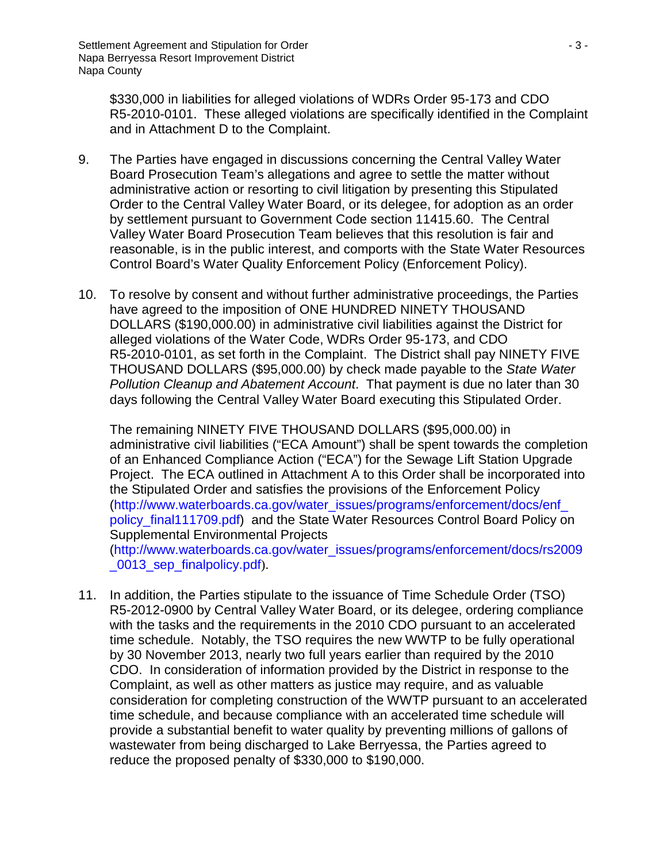\$330,000 in liabilities for alleged violations of WDRs Order 95-173 and CDO R5-2010-0101. These alleged violations are specifically identified in the Complaint and in Attachment D to the Complaint.

- 9. The Parties have engaged in discussions concerning the Central Valley Water Board Prosecution Team's allegations and agree to settle the matter without administrative action or resorting to civil litigation by presenting this Stipulated Order to the Central Valley Water Board, or its delegee, for adoption as an order by settlement pursuant to Government Code section 11415.60. The Central Valley Water Board Prosecution Team believes that this resolution is fair and reasonable, is in the public interest, and comports with the State Water Resources Control Board's Water Quality Enforcement Policy (Enforcement Policy).
- 10. To resolve by consent and without further administrative proceedings, the Parties have agreed to the imposition of ONE HUNDRED NINETY THOUSAND DOLLARS (\$190,000.00) in administrative civil liabilities against the District for alleged violations of the Water Code, WDRs Order 95-173, and CDO R5-2010-0101, as set forth in the Complaint. The District shall pay NINETY FIVE THOUSAND DOLLARS (\$95,000.00) by check made payable to the *State Water Pollution Cleanup and Abatement Account*. That payment is due no later than 30 days following the Central Valley Water Board executing this Stipulated Order.

The remaining NINETY FIVE THOUSAND DOLLARS (\$95,000.00) in administrative civil liabilities ("ECA Amount") shall be spent towards the completion of an Enhanced Compliance Action ("ECA") for the Sewage Lift Station Upgrade Project. The ECA outlined in Attachment A to this Order shall be incorporated into the Stipulated Order and satisfies the provisions of the Enforcement Policy [\(http://www.waterboards.ca.gov/water\\_issues/programs/enforcement/docs/enf\\_](http://www.waterboards.ca.gov/water_issues/programs/enforcement/docs/enf_policy_final111709.pdf) [policy\\_final111709.pdf\)](http://www.waterboards.ca.gov/water_issues/programs/enforcement/docs/enf_policy_final111709.pdf) and the State Water Resources Control Board Policy on Supplemental Environmental Projects [\(http://www.waterboards.ca.gov/water\\_issues/programs/enforcement/docs/rs2009](http://www.waterboards.ca.gov/water_issues/programs/enforcement/docs/rs2009_0013_sep_finalpolicy.pdf) [\\_0013\\_sep\\_finalpolicy.pdf](http://www.waterboards.ca.gov/water_issues/programs/enforcement/docs/rs2009_0013_sep_finalpolicy.pdf)).

11. In addition, the Parties stipulate to the issuance of Time Schedule Order (TSO) R5-2012-0900 by Central Valley Water Board, or its delegee, ordering compliance with the tasks and the requirements in the 2010 CDO pursuant to an accelerated time schedule. Notably, the TSO requires the new WWTP to be fully operational by 30 November 2013, nearly two full years earlier than required by the 2010 CDO. In consideration of information provided by the District in response to the Complaint, as well as other matters as justice may require, and as valuable consideration for completing construction of the WWTP pursuant to an accelerated time schedule, and because compliance with an accelerated time schedule will provide a substantial benefit to water quality by preventing millions of gallons of wastewater from being discharged to Lake Berryessa, the Parties agreed to reduce the proposed penalty of \$330,000 to \$190,000.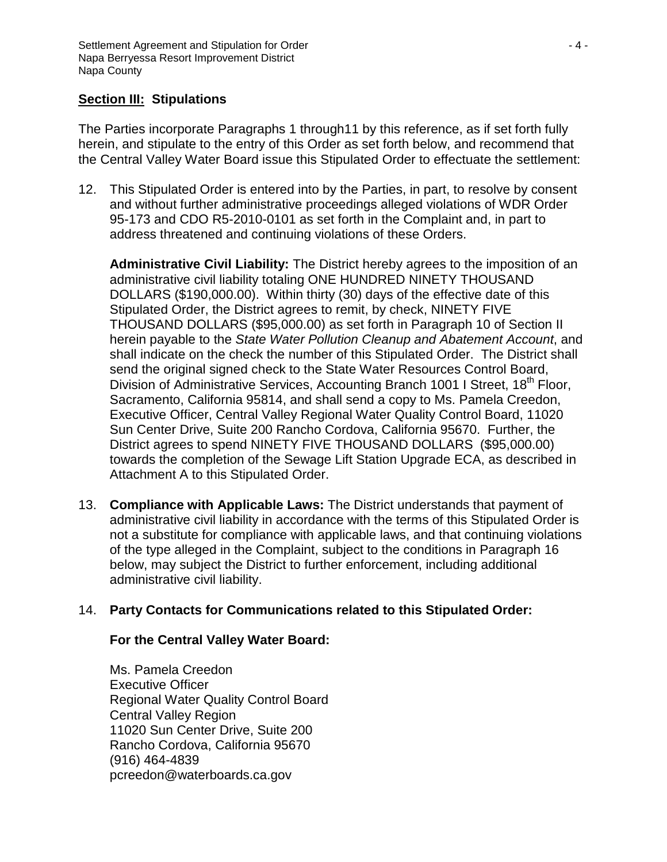# **Section III: Stipulations**

The Parties incorporate Paragraphs 1 through11 by this reference, as if set forth fully herein, and stipulate to the entry of this Order as set forth below, and recommend that the Central Valley Water Board issue this Stipulated Order to effectuate the settlement:

12. This Stipulated Order is entered into by the Parties, in part, to resolve by consent and without further administrative proceedings alleged violations of WDR Order 95-173 and CDO R5-2010-0101 as set forth in the Complaint and, in part to address threatened and continuing violations of these Orders.

**Administrative Civil Liability:** The District hereby agrees to the imposition of an administrative civil liability totaling ONE HUNDRED NINETY THOUSAND DOLLARS (\$190,000.00). Within thirty (30) days of the effective date of this Stipulated Order, the District agrees to remit, by check, NINETY FIVE THOUSAND DOLLARS (\$95,000.00) as set forth in Paragraph 10 of Section II herein payable to the *State Water Pollution Cleanup and Abatement Account*, and shall indicate on the check the number of this Stipulated Order. The District shall send the original signed check to the State Water Resources Control Board, Division of Administrative Services, Accounting Branch 1001 I Street, 18<sup>th</sup> Floor, Sacramento, California 95814, and shall send a copy to Ms. Pamela Creedon, Executive Officer, Central Valley Regional Water Quality Control Board, 11020 Sun Center Drive, Suite 200 Rancho Cordova, California 95670. Further, the District agrees to spend NINETY FIVE THOUSAND DOLLARS (\$95,000.00) towards the completion of the Sewage Lift Station Upgrade ECA, as described in Attachment A to this Stipulated Order.

13. **Compliance with Applicable Laws:** The District understands that payment of administrative civil liability in accordance with the terms of this Stipulated Order is not a substitute for compliance with applicable laws, and that continuing violations of the type alleged in the Complaint, subject to the conditions in Paragraph 16 below, may subject the District to further enforcement, including additional administrative civil liability.

## 14. **Party Contacts for Communications related to this Stipulated Order:**

## **For the Central Valley Water Board:**

Ms. Pamela Creedon Executive Officer Regional Water Quality Control Board Central Valley Region 11020 Sun Center Drive, Suite 200 Rancho Cordova, California 95670 (916) 464-4839 pcreedon@waterboards.ca.gov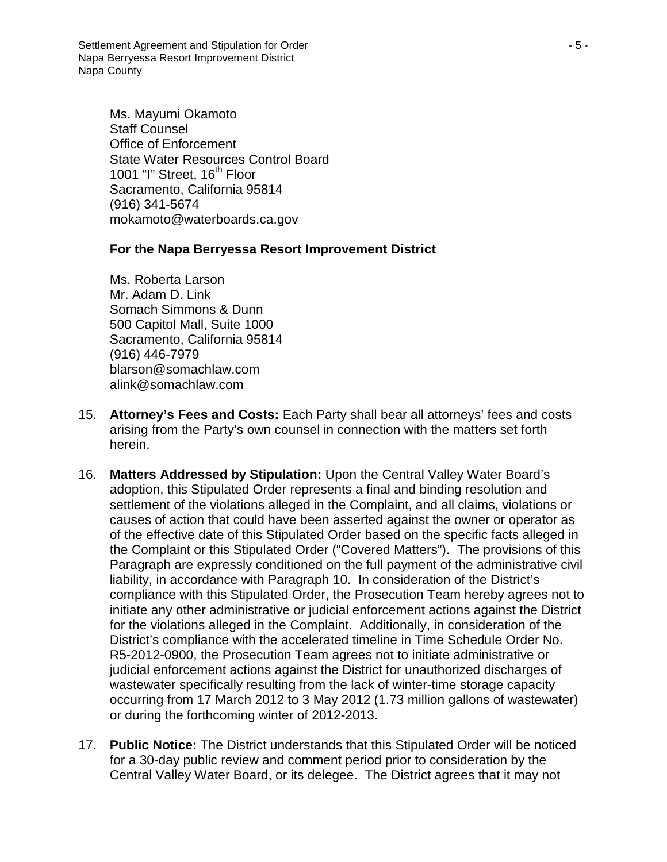Settlement Agreement and Stipulation for Order - 5 - Napa Berryessa Resort Improvement District Napa County

Ms. Mayumi Okamoto Staff Counsel Office of Enforcement State Water Resources Control Board 1001 "I" Street, 16<sup>th</sup> Floor Sacramento, California 95814 (916) 341-5674 mokamoto@waterboards.ca.gov

#### **For the Napa Berryessa Resort Improvement District**

Ms. Roberta Larson Mr. Adam D. Link Somach Simmons & Dunn 500 Capitol Mall, Suite 1000 Sacramento, California 95814 (916) 446-7979 blarson@somachlaw.com alink@somachlaw.com

- 15. **Attorney's Fees and Costs:** Each Party shall bear all attorneys' fees and costs arising from the Party's own counsel in connection with the matters set forth herein.
- 16. **Matters Addressed by Stipulation:** Upon the Central Valley Water Board's adoption, this Stipulated Order represents a final and binding resolution and settlement of the violations alleged in the Complaint, and all claims, violations or causes of action that could have been asserted against the owner or operator as of the effective date of this Stipulated Order based on the specific facts alleged in the Complaint or this Stipulated Order ("Covered Matters"). The provisions of this Paragraph are expressly conditioned on the full payment of the administrative civil liability, in accordance with Paragraph 10. In consideration of the District's compliance with this Stipulated Order, the Prosecution Team hereby agrees not to initiate any other administrative or judicial enforcement actions against the District for the violations alleged in the Complaint. Additionally, in consideration of the District's compliance with the accelerated timeline in Time Schedule Order No. R5-2012-0900, the Prosecution Team agrees not to initiate administrative or judicial enforcement actions against the District for unauthorized discharges of wastewater specifically resulting from the lack of winter-time storage capacity occurring from 17 March 2012 to 3 May 2012 (1.73 million gallons of wastewater) or during the forthcoming winter of 2012-2013.
- 17. **Public Notice:** The District understands that this Stipulated Order will be noticed for a 30-day public review and comment period prior to consideration by the Central Valley Water Board, or its delegee. The District agrees that it may not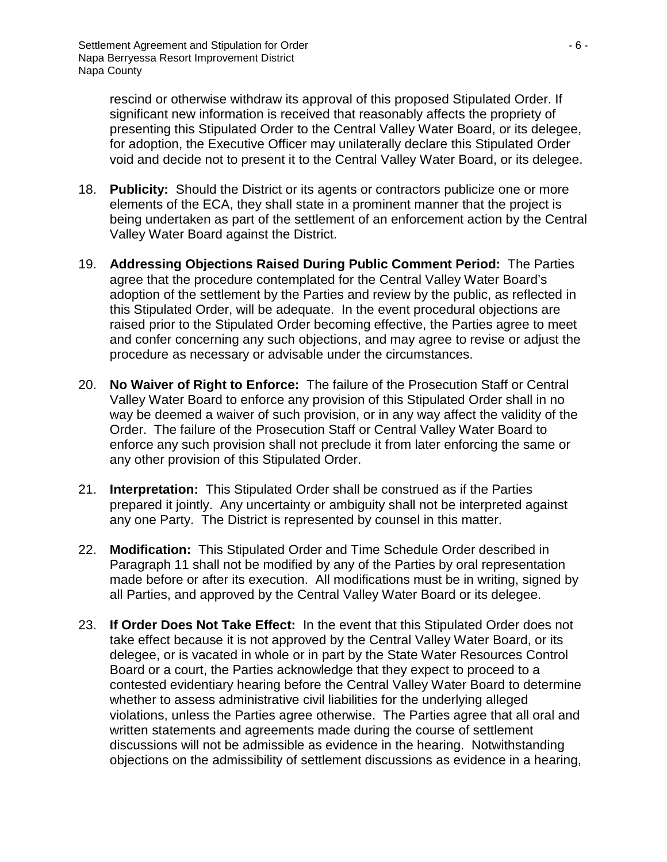rescind or otherwise withdraw its approval of this proposed Stipulated Order. If significant new information is received that reasonably affects the propriety of presenting this Stipulated Order to the Central Valley Water Board, or its delegee, for adoption, the Executive Officer may unilaterally declare this Stipulated Order void and decide not to present it to the Central Valley Water Board, or its delegee.

- 18. **Publicity:** Should the District or its agents or contractors publicize one or more elements of the ECA, they shall state in a prominent manner that the project is being undertaken as part of the settlement of an enforcement action by the Central Valley Water Board against the District.
- 19. **Addressing Objections Raised During Public Comment Period:** The Parties agree that the procedure contemplated for the Central Valley Water Board's adoption of the settlement by the Parties and review by the public, as reflected in this Stipulated Order, will be adequate. In the event procedural objections are raised prior to the Stipulated Order becoming effective, the Parties agree to meet and confer concerning any such objections, and may agree to revise or adjust the procedure as necessary or advisable under the circumstances.
- 20. **No Waiver of Right to Enforce:** The failure of the Prosecution Staff or Central Valley Water Board to enforce any provision of this Stipulated Order shall in no way be deemed a waiver of such provision, or in any way affect the validity of the Order. The failure of the Prosecution Staff or Central Valley Water Board to enforce any such provision shall not preclude it from later enforcing the same or any other provision of this Stipulated Order.
- 21. **Interpretation:** This Stipulated Order shall be construed as if the Parties prepared it jointly. Any uncertainty or ambiguity shall not be interpreted against any one Party. The District is represented by counsel in this matter.
- 22. **Modification:** This Stipulated Order and Time Schedule Order described in Paragraph 11 shall not be modified by any of the Parties by oral representation made before or after its execution. All modifications must be in writing, signed by all Parties, and approved by the Central Valley Water Board or its delegee.
- 23. **If Order Does Not Take Effect:** In the event that this Stipulated Order does not take effect because it is not approved by the Central Valley Water Board, or its delegee, or is vacated in whole or in part by the State Water Resources Control Board or a court, the Parties acknowledge that they expect to proceed to a contested evidentiary hearing before the Central Valley Water Board to determine whether to assess administrative civil liabilities for the underlying alleged violations, unless the Parties agree otherwise. The Parties agree that all oral and written statements and agreements made during the course of settlement discussions will not be admissible as evidence in the hearing. Notwithstanding objections on the admissibility of settlement discussions as evidence in a hearing,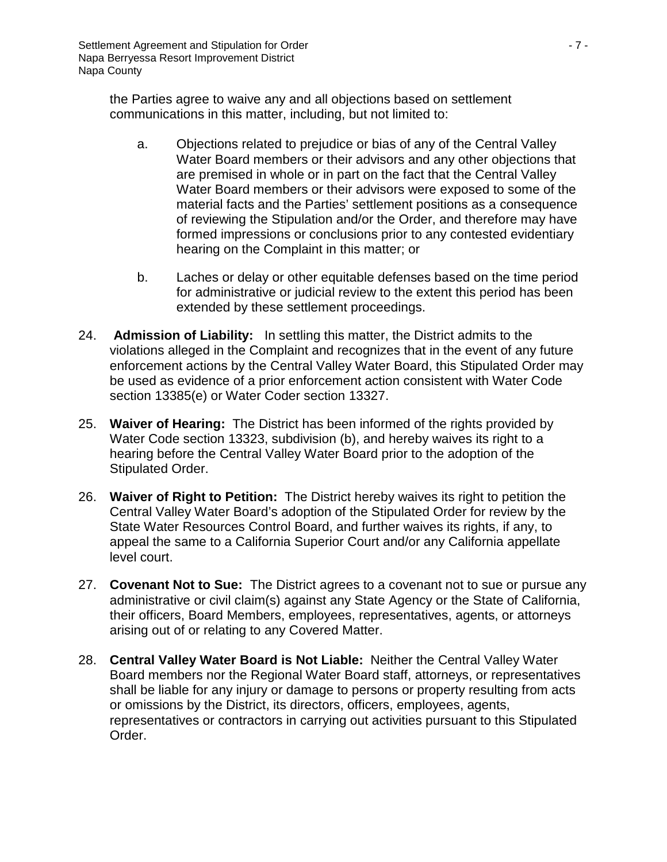the Parties agree to waive any and all objections based on settlement communications in this matter, including, but not limited to:

- a. Objections related to prejudice or bias of any of the Central Valley Water Board members or their advisors and any other objections that are premised in whole or in part on the fact that the Central Valley Water Board members or their advisors were exposed to some of the material facts and the Parties' settlement positions as a consequence of reviewing the Stipulation and/or the Order, and therefore may have formed impressions or conclusions prior to any contested evidentiary hearing on the Complaint in this matter; or
- b. Laches or delay or other equitable defenses based on the time period for administrative or judicial review to the extent this period has been extended by these settlement proceedings.
- 24. **Admission of Liability:** In settling this matter, the District admits to the violations alleged in the Complaint and recognizes that in the event of any future enforcement actions by the Central Valley Water Board, this Stipulated Order may be used as evidence of a prior enforcement action consistent with Water Code section 13385(e) or Water Coder section 13327.
- 25. **Waiver of Hearing:** The District has been informed of the rights provided by Water Code section 13323, subdivision (b), and hereby waives its right to a hearing before the Central Valley Water Board prior to the adoption of the Stipulated Order.
- 26. **Waiver of Right to Petition:** The District hereby waives its right to petition the Central Valley Water Board's adoption of the Stipulated Order for review by the State Water Resources Control Board, and further waives its rights, if any, to appeal the same to a California Superior Court and/or any California appellate level court.
- 27. **Covenant Not to Sue:** The District agrees to a covenant not to sue or pursue any administrative or civil claim(s) against any State Agency or the State of California, their officers, Board Members, employees, representatives, agents, or attorneys arising out of or relating to any Covered Matter.
- 28. **Central Valley Water Board is Not Liable:** Neither the Central Valley Water Board members nor the Regional Water Board staff, attorneys, or representatives shall be liable for any injury or damage to persons or property resulting from acts or omissions by the District, its directors, officers, employees, agents, representatives or contractors in carrying out activities pursuant to this Stipulated Order.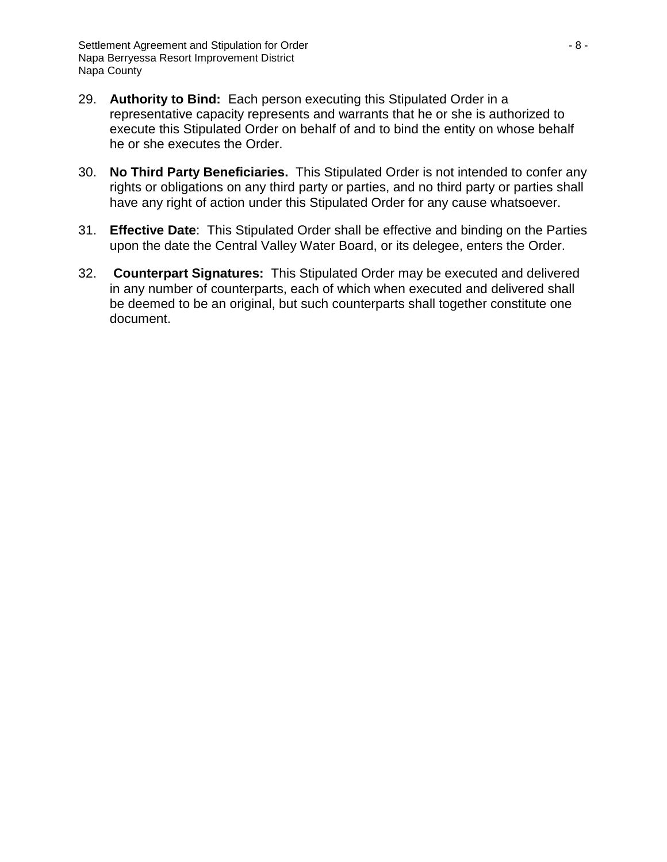- 29. **Authority to Bind:** Each person executing this Stipulated Order in a representative capacity represents and warrants that he or she is authorized to execute this Stipulated Order on behalf of and to bind the entity on whose behalf he or she executes the Order.
- 30. **No Third Party Beneficiaries.** This Stipulated Order is not intended to confer any rights or obligations on any third party or parties, and no third party or parties shall have any right of action under this Stipulated Order for any cause whatsoever.
- 31. **Effective Date**: This Stipulated Order shall be effective and binding on the Parties upon the date the Central Valley Water Board, or its delegee, enters the Order.
- 32. **Counterpart Signatures:** This Stipulated Order may be executed and delivered in any number of counterparts, each of which when executed and delivered shall be deemed to be an original, but such counterparts shall together constitute one document.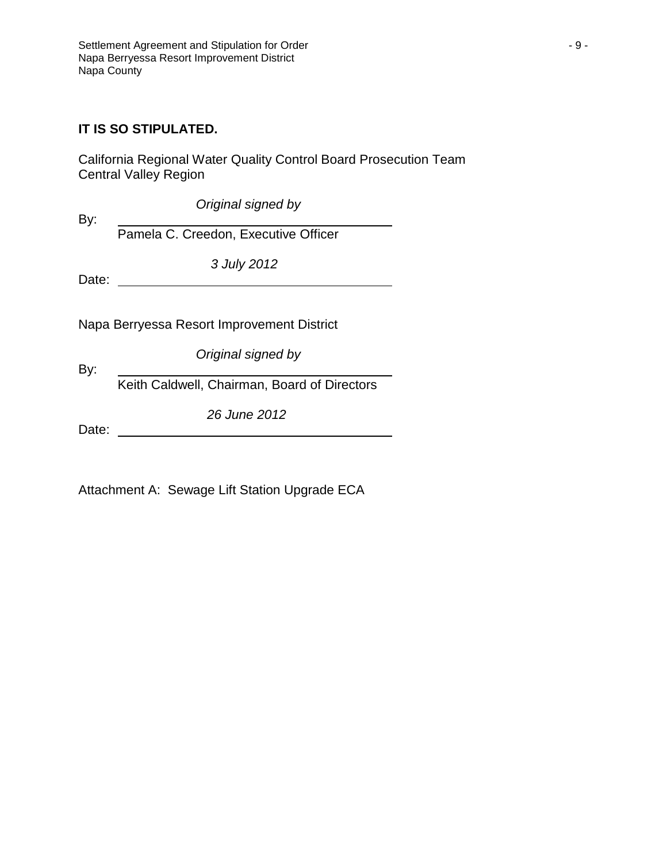#### **IT IS SO STIPULATED.**

California Regional Water Quality Control Board Prosecution Team Central Valley Region

*Original signed by*

By:

Pamela C. Creedon, Executive Officer

*3 July 2012*

Date:

Napa Berryessa Resort Improvement District

*Original signed by*

Keith Caldwell, Chairman, Board of Directors

*26 June 2012*

Date:

By:

Attachment A: Sewage Lift Station Upgrade ECA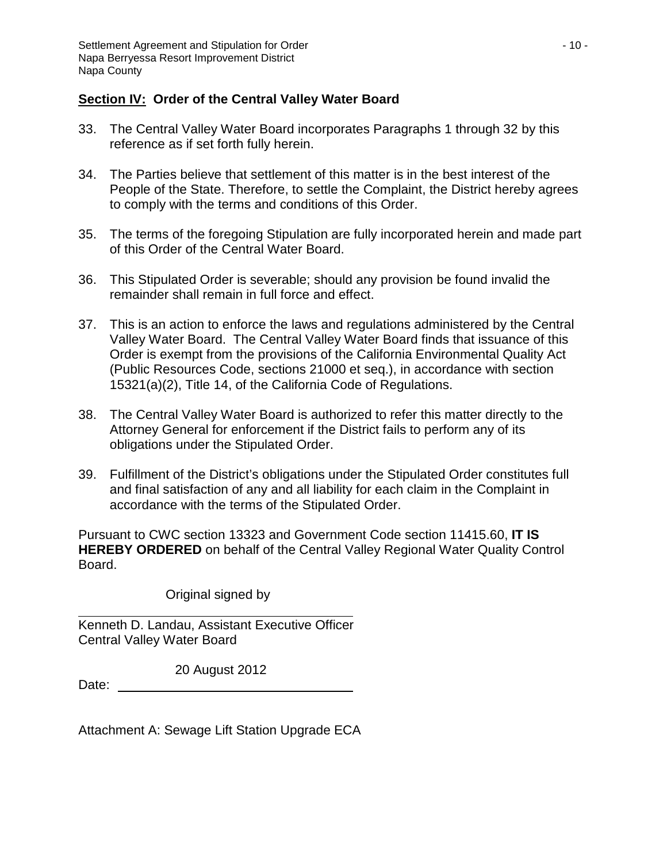## **Section IV: Order of the Central Valley Water Board**

- 33. The Central Valley Water Board incorporates Paragraphs 1 through 32 by this reference as if set forth fully herein.
- 34. The Parties believe that settlement of this matter is in the best interest of the People of the State. Therefore, to settle the Complaint, the District hereby agrees to comply with the terms and conditions of this Order.
- 35. The terms of the foregoing Stipulation are fully incorporated herein and made part of this Order of the Central Water Board.
- 36. This Stipulated Order is severable; should any provision be found invalid the remainder shall remain in full force and effect.
- 37. This is an action to enforce the laws and regulations administered by the Central Valley Water Board. The Central Valley Water Board finds that issuance of this Order is exempt from the provisions of the California Environmental Quality Act (Public Resources Code, sections 21000 et seq.), in accordance with section 15321(a)(2), Title 14, of the California Code of Regulations.
- 38. The Central Valley Water Board is authorized to refer this matter directly to the Attorney General for enforcement if the District fails to perform any of its obligations under the Stipulated Order.
- 39. Fulfillment of the District's obligations under the Stipulated Order constitutes full and final satisfaction of any and all liability for each claim in the Complaint in accordance with the terms of the Stipulated Order.

Pursuant to CWC section 13323 and Government Code section 11415.60, **IT IS HEREBY ORDERED** on behalf of the Central Valley Regional Water Quality Control Board.

Original signed by

Kenneth D. Landau, Assistant Executive Officer Central Valley Water Board

20 August 2012

Date:

Attachment A: Sewage Lift Station Upgrade ECA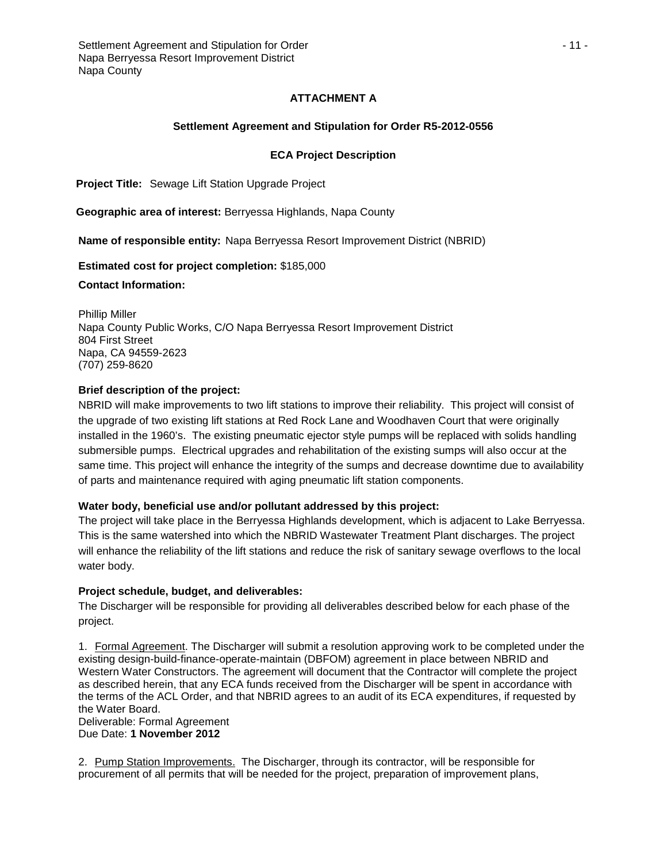#### **ATTACHMENT A**

#### **Settlement Agreement and Stipulation for Order R5-2012-0556**

#### **ECA Project Description**

**Project Title:** Sewage Lift Station Upgrade Project

**Geographic area of interest:** Berryessa Highlands, Napa County

**Name of responsible entity:** Napa Berryessa Resort Improvement District (NBRID)

**Estimated cost for project completion:** \$185,000

**Contact Information:**

Phillip Miller Napa County Public Works, C/O Napa Berryessa Resort Improvement District 804 First Street Napa, CA 94559-2623 (707) 259-8620

#### **Brief description of the project:**

NBRID will make improvements to two lift stations to improve their reliability. This project will consist of the upgrade of two existing lift stations at Red Rock Lane and Woodhaven Court that were originally installed in the 1960's. The existing pneumatic ejector style pumps will be replaced with solids handling submersible pumps. Electrical upgrades and rehabilitation of the existing sumps will also occur at the same time. This project will enhance the integrity of the sumps and decrease downtime due to availability of parts and maintenance required with aging pneumatic lift station components.

#### **Water body, beneficial use and/or pollutant addressed by this project:**

The project will take place in the Berryessa Highlands development, which is adjacent to Lake Berryessa. This is the same watershed into which the NBRID Wastewater Treatment Plant discharges. The project will enhance the reliability of the lift stations and reduce the risk of sanitary sewage overflows to the local water body.

#### **Project schedule, budget, and deliverables:**

The Discharger will be responsible for providing all deliverables described below for each phase of the project.

1. Formal Agreement. The Discharger will submit a resolution approving work to be completed under the existing design-build-finance-operate-maintain (DBFOM) agreement in place between NBRID and Western Water Constructors. The agreement will document that the Contractor will complete the project as described herein, that any ECA funds received from the Discharger will be spent in accordance with the terms of the ACL Order, and that NBRID agrees to an audit of its ECA expenditures, if requested by the Water Board.

Deliverable: Formal Agreement Due Date: **1 November 2012**

2. Pump Station Improvements. The Discharger, through its contractor, will be responsible for procurement of all permits that will be needed for the project, preparation of improvement plans,